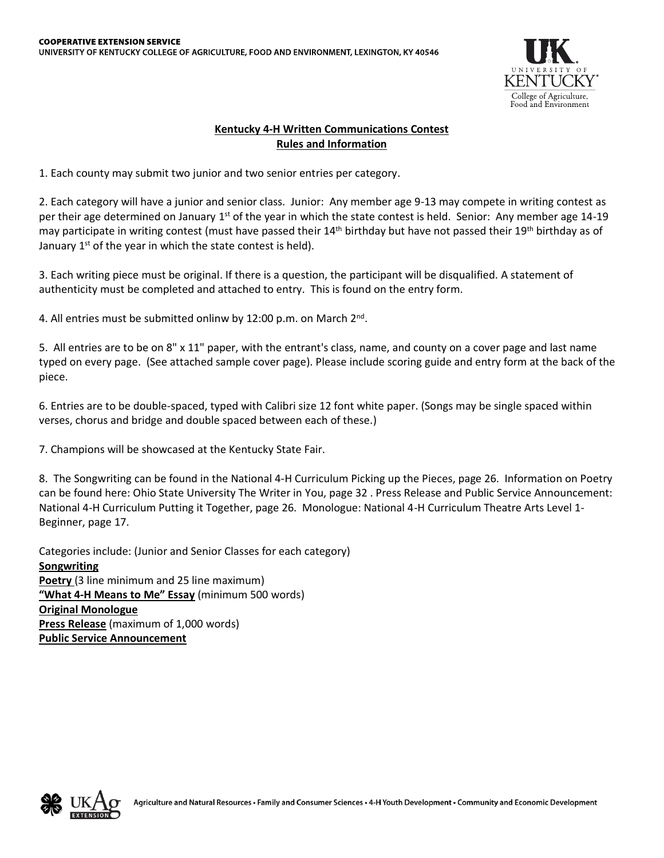

## **Kentucky 4-H Written Communications Contest Rules and Information**

1. Each county may submit two junior and two senior entries per category.

2. Each category will have a junior and senior class. Junior: Any member age 9-13 may compete in writing contest as per their age determined on January  $1<sup>st</sup>$  of the year in which the state contest is held. Senior: Any member age 14-19 may participate in writing contest (must have passed their  $14<sup>th</sup>$  birthday but have not passed their  $19<sup>th</sup>$  birthday as of January  $1^{st}$  of the year in which the state contest is held).

3. Each writing piece must be original. If there is a question, the participant will be disqualified. A statement of authenticity must be completed and attached to entry. This is found on the entry form.

4. All entries must be submitted onlinw by 12:00 p.m. on March 2<sup>nd</sup>.

5. All entries are to be on 8" x 11" paper, with the entrant's class, name, and county on a cover page and last name typed on every page. (See attached sample cover page). Please include scoring guide and entry form at the back of the piece.

6. Entries are to be double-spaced, typed with Calibri size 12 font white paper. (Songs may be single spaced within verses, chorus and bridge and double spaced between each of these.)

7. Champions will be showcased at the Kentucky State Fair.

8. The Songwriting can be found in the National 4-H Curriculum Picking up the Pieces, page 26. Information on Poetry can be found here: Ohio State University The Writer in You, page 32 . Press Release and Public Service Announcement: National 4-H Curriculum Putting it Together, page 26. Monologue: National 4-H Curriculum Theatre Arts Level 1- Beginner, page 17.

Categories include: (Junior and Senior Classes for each category) **Songwriting Poetry** (3 line minimum and 25 line maximum) **"What 4-H Means to Me" Essay** (minimum 500 words) **Original Monologue Press Release** (maximum of 1,000 words) **Public Service Announcement**

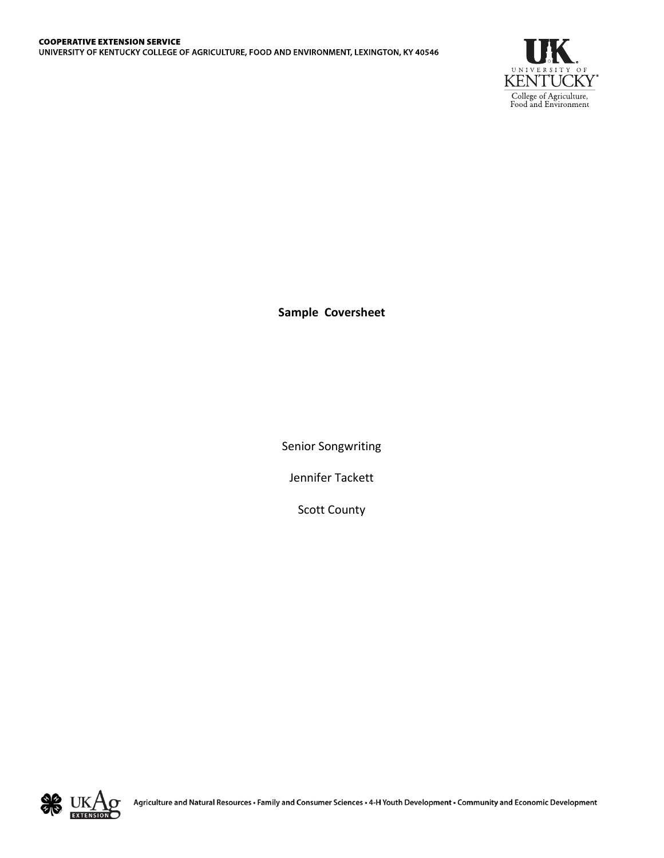

**Sample Coversheet**

Senior Songwriting

Jennifer Tackett

Scott County

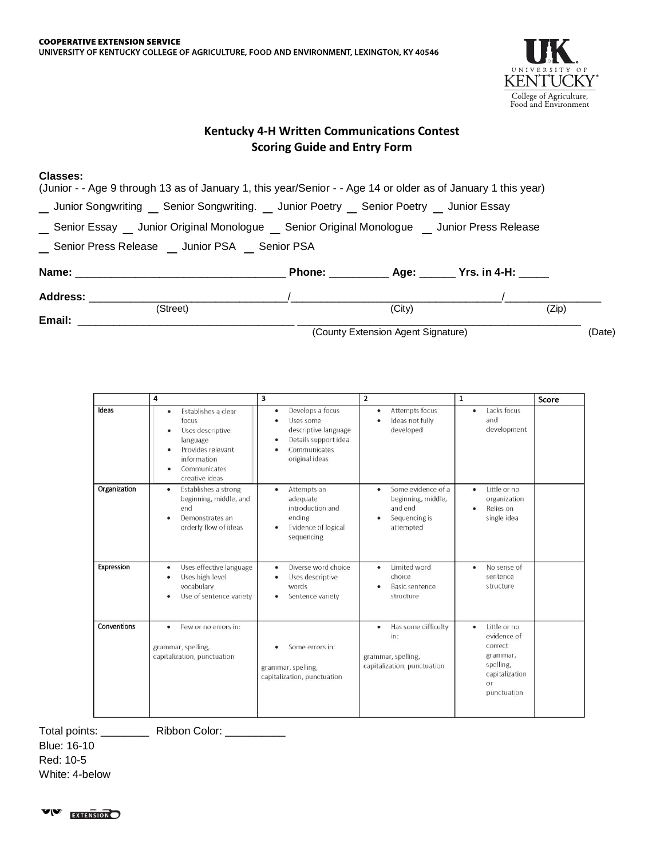

## **Kentucky 4-H Written Communications Contest Scoring Guide and Entry Form**

## **Classes:**

| (Junior - - Age 9 through 13 as of January 1, this year/Senior - - Age 14 or older as of January 1 this year) |        |          |       |  |
|---------------------------------------------------------------------------------------------------------------|--------|----------|-------|--|
| __ Junior Songwriting __ Senior Songwriting. __ Junior Poetry __ Senior Poetry __ Junior Essay                |        |          |       |  |
| __ Senior Essay __ Junior Original Monologue __ Senior Original Monologue __ Junior Press Release             |        |          |       |  |
| _ Senior Press Release _ Junior PSA _ Senior PSA                                                              |        |          |       |  |
|                                                                                                               |        |          |       |  |
| <b>Address:</b>                                                                                               |        |          |       |  |
| (Street)                                                                                                      | (City) |          | (Zip) |  |
| Email:                                                                                                        | $\sim$ | $\cdots$ |       |  |

(County Extension Agent Signature) (Date)

|              | 4                                                                                                                                            | 3                                                                                                                                   | 2                                                                                                   | $\mathbf{1}$                                                                                                | Score |
|--------------|----------------------------------------------------------------------------------------------------------------------------------------------|-------------------------------------------------------------------------------------------------------------------------------------|-----------------------------------------------------------------------------------------------------|-------------------------------------------------------------------------------------------------------------|-------|
| Ideas        | Establishes a clear<br>٠<br>focus<br>Uses descriptive<br>language<br>Provides relevant<br>٠<br>information<br>Communicates<br>creative ideas | Develops a focus<br>٠<br>Uses some<br>٠<br>descriptive language<br>Details support idea<br>٠<br>Communicates<br>٠<br>original ideas | Attempts focus<br>٠<br>Ideas not fully<br>$\bullet$<br>developed                                    | Lacks focus<br>٠<br>and<br>development                                                                      |       |
| Organization | Establishes a strong<br>٠<br>beginning, middle, and<br>end<br>Demonstrates an<br>٠<br>orderly flow of ideas                                  | Attempts an<br>٠<br>adequate<br>introduction and<br>ending<br>Evidence of logical<br>sequencing                                     | Some evidence of a<br>٠<br>beginning, middle,<br>and end<br>Sequencing is<br>$\bullet$<br>attempted | Little or no<br>٠<br>organization<br>Relies on<br>single idea                                               |       |
| Expression   | Uses effective language<br>٠<br>Uses high-level<br>٠<br>vocabulary<br>Use of sentence variety<br>٠                                           | Diverse word choice<br>٠<br>Uses descriptive<br>٠<br>words<br>Sentence variety<br>٠                                                 | Limited word<br>٠<br>choice<br>Basic sentence<br>structure                                          | No sense of<br>٠<br>sentence<br>structure                                                                   |       |
| Conventions  | Few or no errors in:<br>grammar, spelling,<br>capitalization, punctuation                                                                    | Some errors in:<br>grammar, spelling,<br>capitalization, punctuation                                                                | Has some difficulty<br>٠<br>in:<br>grammar, spelling,<br>capitalization, punctuation                | Little or no<br>۰<br>evidence of<br>correct<br>grammar,<br>spelling,<br>capitalization<br>or<br>punctuation |       |

Total points: \_\_\_\_\_\_\_\_\_ Ribbon Color: \_\_\_\_\_\_\_\_\_

Blue: 16-10 Red: 10-5 White: 4-below